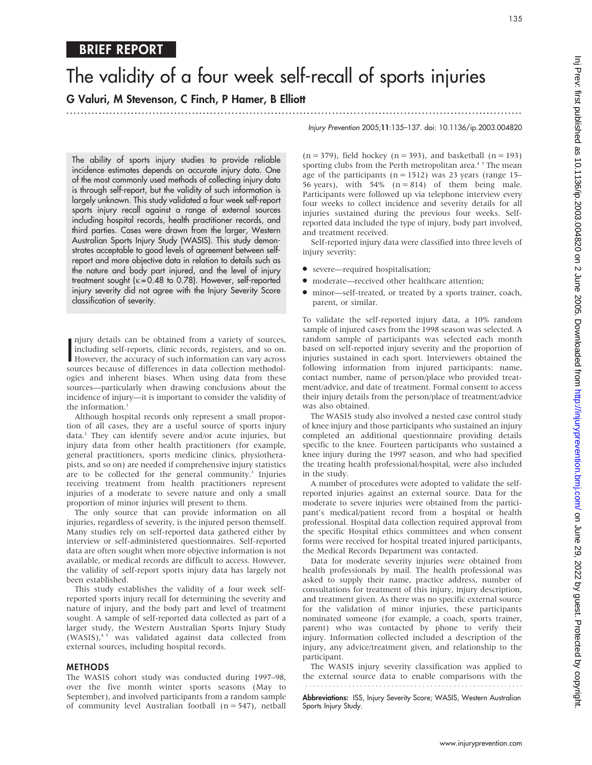# The validity of a four week self-recall of sports injuries

G Valuri, M Stevenson, C Finch, P Hamer, B Elliott

...............................................................................................................................

The ability of sports injury studies to provide reliable incidence estimates depends on accurate injury data. One of the most commonly used methods of collecting injury data is through self-report, but the validity of such information is largely unknown. This study validated a four week self-report sports injury recall against a range of external sources including hospital records, health practitioner records, and third parties. Cases were drawn from the larger, Western Australian Sports Injury Study (WASIS). This study demonstrates acceptable to good levels of agreement between selfreport and more objective data in relation to details such as the nature and body part injured, and the level of injury treatment sought ( $k = 0.48$  to 0.78). However, self-reported injury severity did not agree with the Injury Severity Score classification of severity.

I mury details can be obtained from a variety of sources,<br>including self-reports, clinic records, registers, and so on.<br>However, the accuracy of such information can vary across<br>sources because of differences in data colle njury details can be obtained from a variety of sources, including self-reports, clinic records, registers, and so on. sources because of differences in data collection methodologies and inherent biases. When using data from these sources—particularly when drawing conclusions about the incidence of injury—it is important to consider the validity of the information.<sup>1</sup>

Although hospital records only represent a small proportion of all cases, they are a useful source of sports injury data.<sup>2</sup> They can identify severe and/or acute injuries, but injury data from other health practitioners (for example, general practitioners, sports medicine clinics, physiotherapists, and so on) are needed if comprehensive injury statistics are to be collected for the general community.<sup>3</sup> Injuries receiving treatment from health practitioners represent injuries of a moderate to severe nature and only a small proportion of minor injuries will present to them.

The only source that can provide information on all injuries, regardless of severity, is the injured person themself. Many studies rely on self-reported data gathered either by interview or self-administered questionnaires. Self-reported data are often sought when more objective information is not available, or medical records are difficult to access. However, the validity of self-report sports injury data has largely not been established.

This study establishes the validity of a four week selfreported sports injury recall for determining the severity and nature of injury, and the body part and level of treatment sought. A sample of self-reported data collected as part of a larger study, the Western Australian Sports Injury Study (WASIS),<sup>45</sup> was validated against data collected from external sources, including hospital records.

#### METHODS

The WASIS cohort study was conducted during 1997–98, over the five month winter sports seasons (May to September), and involved participants from a random sample of community level Australian football  $(n = 547)$ , netball Injury Prevention 2005;11:135–137. doi: 10.1136/ip.2003.004820

 $(n = 379)$ , field hockey  $(n = 393)$ , and basketball  $(n = 193)$ sporting clubs from the Perth metropolitan area.<sup>45</sup> The mean age of the participants ( $n = 1512$ ) was 23 years (range 15– 56 years), with  $54\%$  (n = 814) of them being male. Participants were followed up via telephone interview every four weeks to collect incidence and severity details for all injuries sustained during the previous four weeks. Selfreported data included the type of injury, body part involved, and treatment received.

Self-reported injury data were classified into three levels of injury severity:

- severe—required hospitalisation;
- $\bullet$  moderate—received other healthcare attention;
- $\bullet$  minor—self-treated, or treated by a sports trainer, coach, parent, or similar.

To validate the self-reported injury data, a 10% random sample of injured cases from the 1998 season was selected. A random sample of participants was selected each month based on self-reported injury severity and the proportion of injuries sustained in each sport. Interviewers obtained the following information from injured participants: name, contact number, name of person/place who provided treatment/advice, and date of treatment. Formal consent to access their injury details from the person/place of treatment/advice was also obtained.

The WASIS study also involved a nested case control study of knee injury and those participants who sustained an injury completed an additional questionnaire providing details specific to the knee. Fourteen participants who sustained a knee injury during the 1997 season, and who had specified the treating health professional/hospital, were also included in the study.

A number of procedures were adopted to validate the selfreported injuries against an external source. Data for the moderate to severe injuries were obtained from the participant's medical/patient record from a hospital or health professional. Hospital data collection required approval from the specific Hospital ethics committees and when consent forms were received for hospital treated injured participants, the Medical Records Department was contacted.

Data for moderate severity injuries were obtained from health professionals by mail. The health professional was asked to supply their name, practice address, number of consultations for treatment of this injury, injury description, and treatment given. As there was no specific external source for the validation of minor injuries, these participants nominated someone (for example, a coach, sports trainer, parent) who was contacted by phone to verify their injury. Information collected included a description of the injury, any advice/treatment given, and relationship to the participant.

The WASIS injury severity classification was applied to the external source data to enable comparisons with the

Abbreviations: ISS, Injury Severity Score; WASIS, Western Australian Sports Injury Study.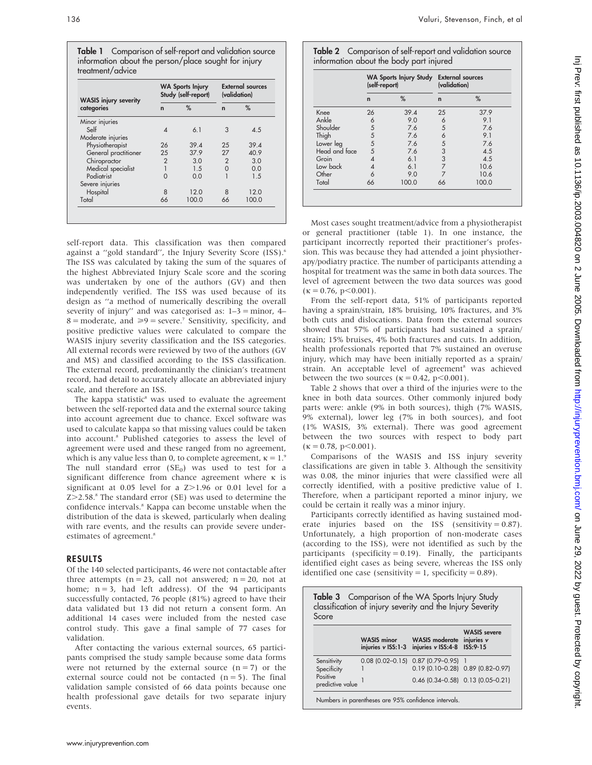Table 1 Comparison of self-report and validation source information about the person/place sought for injury treatment/advice

| <b>WASIS injury severity</b> | <b>WA Sports Injury</b><br>Study (self-report) |       | <b>External sources</b><br>(validation) |       |
|------------------------------|------------------------------------------------|-------|-----------------------------------------|-------|
| categories                   | $\mathbf n$                                    | %     | $\mathbf n$                             | %     |
| Minor injuries               |                                                |       |                                         |       |
| Self                         | Δ                                              | 6.1   | 3                                       | 4.5   |
| Moderate injuries            |                                                |       |                                         |       |
| Physiotherapist              | 26                                             | 39.4  | 25                                      | 39.4  |
| General practitioner         | 25                                             | 37.9  | 27                                      | 40.9  |
| Chiropractor                 | $\overline{2}$                                 | 3.0   | 2                                       | 3.0   |
| Medical specialist           |                                                | 1.5   | $\Omega$                                | 0.0   |
| Podiatrist                   | O                                              | 0.0   |                                         | 1.5   |
| Severe injuries              |                                                |       |                                         |       |
| Hospital                     | 8                                              | 12.0  | 8                                       | 12.0  |
| Total                        | 66                                             | 100.0 | 66                                      | 100.0 |

self-report data. This classification was then compared against a "gold standard", the Injury Severity Score (ISS).<sup>6</sup> The ISS was calculated by taking the sum of the squares of the highest Abbreviated Injury Scale score and the scoring was undertaken by one of the authors (GV) and then independently verified. The ISS was used because of its design as ''a method of numerically describing the overall severity of injury" and was categorised as:  $1-3 =$  minor,  $4 8 =$  moderate, and  $\ge 9 =$  severe.<sup>7</sup> Sensitivity, specificity, and positive predictive values were calculated to compare the WASIS injury severity classification and the ISS categories. All external records were reviewed by two of the authors (GV and MS) and classified according to the ISS classification. The external record, predominantly the clinician's treatment record, had detail to accurately allocate an abbreviated injury scale, and therefore an ISS.

The kappa statistic $\delta$  was used to evaluate the agreement between the self-reported data and the external source taking into account agreement due to chance. Excel software was used to calculate kappa so that missing values could be taken into account.8 Published categories to assess the level of agreement were used and these ranged from no agreement, which is any value less than 0, to complete agreement,  $\kappa = 1$ .<sup>9</sup> The null standard error  $(SE<sub>0</sub>)$  was used to test for a significant difference from chance agreement where  $\kappa$  is significant at  $0.05$  level for a  $Z > 1.96$  or  $0.01$  level for a  $Z > 2.58$ .<sup>8</sup> The standard error (SE) was used to determine the confidence intervals.<sup>8</sup> Kappa can become unstable when the distribution of the data is skewed, particularly when dealing with rare events, and the results can provide severe underestimates of agreement.<sup>8</sup>

#### RESULTS

Of the 140 selected participants, 46 were not contactable after three attempts  $(n = 23$ , call not answered;  $n = 20$ , not at home;  $n = 3$ , had left address). Of the 94 participants successfully contacted, 76 people (81%) agreed to have their data validated but 13 did not return a consent form. An additional 14 cases were included from the nested case control study. This gave a final sample of 77 cases for validation.

After contacting the various external sources, 65 participants comprised the study sample because some data forms were not returned by the external source  $(n = 7)$  or the external source could not be contacted  $(n = 5)$ . The final validation sample consisted of 66 data points because one health professional gave details for two separate injury events.

Table 2 Comparison of self-report and validation source information about the body part injured

|               | WA Sports Injury Study External sources<br>(self-report) |       | (validation) |       |
|---------------|----------------------------------------------------------|-------|--------------|-------|
|               | $\mathbf n$                                              | %     | $\mathbf n$  | %     |
| Knee          | 26                                                       | 39.4  | 25           | 37.9  |
| Ankle         | 6                                                        | 9.0   | 6            | 9.1   |
| Shoulder      | 5                                                        | 7.6   | 5            | 7.6   |
| Thigh         | 5                                                        | 7.6   | 6            | 9.1   |
| Lower leg     | 5                                                        | 7.6   | 5            | 7.6   |
| Head and face | 5                                                        | 7.6   | 3            | 4.5   |
| Groin         | 4                                                        | 6.1   | 3            | 4.5   |
| Low back      |                                                          | 6.1   |              | 10.6  |
| Other         | 6                                                        | 9.0   |              | 10.6  |
| Total         | 66                                                       | 100.0 | 66           | 100.0 |

Most cases sought treatment/advice from a physiotherapist or general practitioner (table 1). In one instance, the participant incorrectly reported their practitioner's profession. This was because they had attended a joint physiotherapy/podiatry practice. The number of participants attending a hospital for treatment was the same in both data sources. The level of agreement between the two data sources was good  $(\kappa = 0.76, p < 0.001).$ 

From the self-report data, 51% of participants reported having a sprain/strain, 18% bruising, 10% fractures, and 3% both cuts and dislocations. Data from the external sources showed that 57% of participants had sustained a sprain/ strain; 15% bruises, 4% both fractures and cuts. In addition, health professionals reported that 7% sustained an overuse injury, which may have been initially reported as a sprain/ strain. An acceptable level of agreement<sup>8</sup> was achieved between the two sources ( $\kappa = 0.42$ , p<0.001).

Table 2 shows that over a third of the injuries were to the knee in both data sources. Other commonly injured body parts were: ankle (9% in both sources), thigh (7% WASIS, 9% external), lower leg (7% in both sources), and foot (1% WASIS, 3% external). There was good agreement between the two sources with respect to body part  $(\kappa = 0.78, p < 0.001).$ 

Comparisons of the WASIS and ISS injury severity classifications are given in table 3. Although the sensitivity was 0.08, the minor injuries that were classified were all correctly identified, with a positive predictive value of 1. Therefore, when a participant reported a minor injury, we could be certain it really was a minor injury.

Participants correctly identified as having sustained moderate injuries based on the ISS (sensitivity =  $0.87$ ). Unfortunately, a high proportion of non-moderate cases (according to the ISS), were not identified as such by the participants (specificity  $= 0.19$ ). Finally, the participants identified eight cases as being severe, whereas the ISS only identified one case (sensitivity =  $1$ , specificity = 0.89).

| Table 3 Comparison of the WA Sports Injury Study<br>classification of injury severity and the Injury Severity<br>Score |                                           |                                             |                                                 |  |  |  |  |
|------------------------------------------------------------------------------------------------------------------------|-------------------------------------------|---------------------------------------------|-------------------------------------------------|--|--|--|--|
|                                                                                                                        | <b>WASIS</b> minor<br>injuries v ISS: 1-3 | <b>WASIS</b> moderate<br>injuries v ISS:4-8 | <b>WASIS</b> severe<br>injuries v<br>$ISS:9-15$ |  |  |  |  |
| Sensitivity                                                                                                            |                                           | $0.08$ (0.02-0.15) $0.87$ (0.79-0.95)       |                                                 |  |  |  |  |
| Specificity                                                                                                            |                                           |                                             | $0.19$ (0.10-0.28) $0.89$ (0.82-0.97)           |  |  |  |  |
| Positive<br>predictive value                                                                                           |                                           |                                             | $0.46$ (0.34-0.58) $0.13$ (0.05-0.21)           |  |  |  |  |